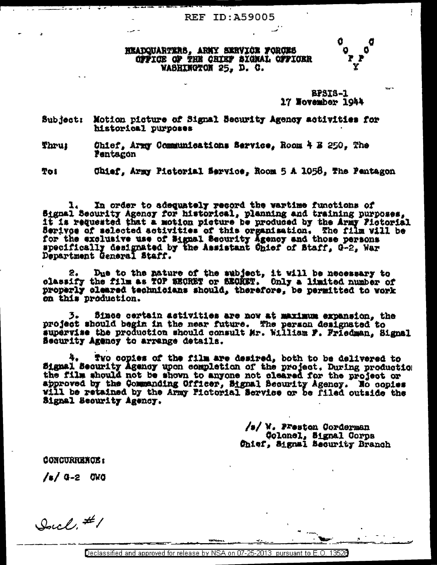## **REF ID: A59005**

## HKADQUARTERS, ARMY SKRVICK FORCES OFFICE OF THE CHIEF SIGNAL OFFICER WASHINGTON 25, D. C.

**BPSIS-1** 17 November 1944

Y

Motion picture of Signal Security Agency activities for Subject: historical purposes

Ohief, Army Communications Service, Room 4 E 250, The Thru: Pentagon

Chief, Army Pictorial Service, Room 5 A 1058, The Pentagon **Toi** 

In order to adequately record the wartime functions of Signal Security Agency for historical, planning and training purposes, it is requested that a motion picture be produced by the Army Pictorial Serivoe of selected activities of this organisation. The film will be for the exclusive use of Signal Scourity Agency and those persons<br>specifically designated by the Assistant Onief of Staff, G-2, War<br>Department General Staff.

Due to the nature of the subject, it will be necessary to 2. classify the film as TOP EECRET or EECRET. Only a limited number of properly cleared technicians should, therefore, be permitted to vork on this production.

Since certain activities are now at maximum expansion, the 3. project should begin in the near future. The person designated to supervise the production should consult Mr. William F. Friedman. Signal Becurity Agency to arrange details.

Two copies of the film are desired, both to be delivered to Signal Security Agency upon completion of the project. During production the film should not be shown to anyone not cleared for the project or approved by the Commanding Officer, Signal Becurity Agency. No copies will be retained by the Army Pictorial Service or be filed outside the Signal Security Agency.

> /s/ W. Preston Corderman Colonel, Signal Corps Chief. Signal Security Branch

**CONCURRENCE:** 

/s/ G-2 OWO

Soul. #1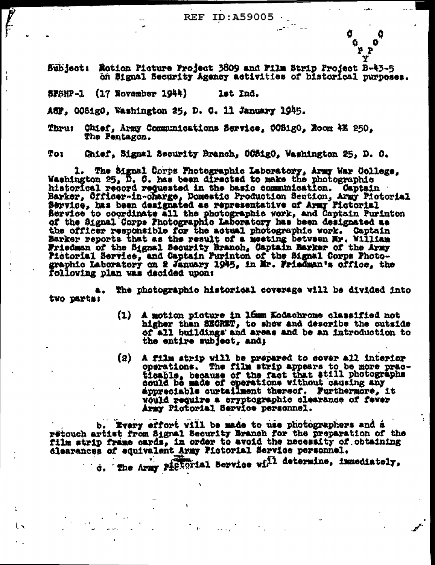$\sim$  33  $\sim$   $\sim$ 

ዎ ይ

Bubject: Motion Picture Project 3809 and Film Strip Project B-43-5 on Signal Security Agency activities of historical purposes.

5PSHP -1  $(17$  November  $1944$ ) lst Ind.

 $\mathsf{L}$ 

A5F, OOSigO, Washington 25, D. C. 11 January 1945.

Thru! Chief, Army Communications Service, OCBigO, Noom 4E 250, The Pentagon.

Toi Chief, Signal Security Branch, 00SigO, Washington 25, D. O.

1. The Signal Corps Photographic Laboratory, Army War College, Washington 25, D. C. has been directed to make the photographic historical record requested in the basic communication. Captain<br>Barker, Cificer-in-charge, Domestic Production Section, Army Pictorial<br>Bervice, has been designated as representative of Army Pictorial Service to coordinate all the photographic work, and Captain Purinton<br>of the Signal Corps Photographic Laboratory has been designated as<br>the officer responsible for the actual photographic work. Captain<br>Barker reports that Friedman of the Signal Security Branch, Captain Barker of the Army Fictorial Service, and Captain Purinton of the Signal Corps Photo-graphic Laboratory on 2 January 1945, in Mr. Friedman's office, the Following plan was decided upon:

The photographic historical coverage will be divided into **. .** two parts:

- $(1)$ A motion picture in 16mm Kodachrome classified not higher than SECRET, to show and describe the outside of all buildings and areas and be an introduction to the entire subject, and;
- A film strip will be prepared to cover all interior operations. The film strip appears to be more practically because of the fact that still photographs could be made of operations without causing any  $\left( 2 \right)$ appreciable curtailment thereof. Furthermore, it would require a cryptographic clearance of fever Army Pictorial Service personnel.

b. Every effort will be made to use photographers and a retouch artist from Signal Security Branch for the preparation of the film strip frame cards, in order to avoid the necessity of obtaining disarances of equivalent Army Pictorial Service personnel.

d. The Army Pictorial Service wi<sup>71</sup> determine, immediately,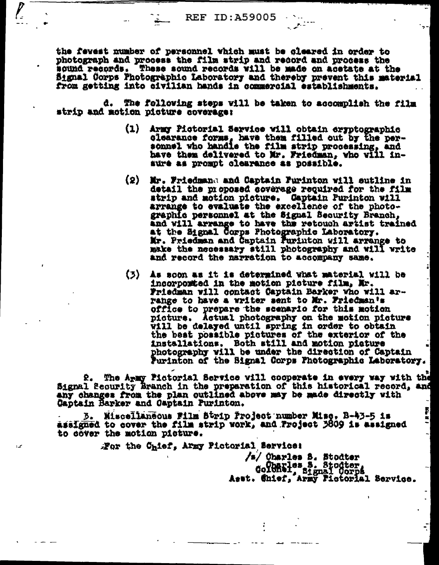the fevest number of personnel which must be cleared in order to photograph and process the film strip and record and process the sound records. These sound records will be made on acetate at the Signal Corps Photographic Laboratory and thereby prevent this material from getting into civilian hands in commercial establishments.

d. The following steps will be taken to accomplish the film strip and motion picture coverage:

- (1) Army Pictorial Service will obtain eryptographic clearance forms, have then filled out by the per-sonnel who handle the film strip processing, and have them delivered to Mr. Friedman, who will inaure as prompt clearance as possible.
- (2) Mr. Friedmand and Captain Purinton will sutline in detail the proposed coverage required for the film strip and motion picture. Captain Purinton will arrange to evaluate the excellence of the photographic personnel at the Signal Security Branch. and will arrange to have the retouch artist trained at the Signal Corps Photographic Laboratory. Mr. Priedman and Captain Purinton will arrange to make the necessary still photography and will write and record the narration to accompany same.
- (3) As soon as it is determined what material will be incorported in the motion picture film, Mr. Friedman vill contact Captain Barker who will arrange to have a writer sent to Mr. Friedman's office to prepare the scenario for this motion picture. Actual photography on the motion picture vill be delayed until spring in order to obtain the beat possible pictures of the exterior of the installations. Both still and motion picture photography will be under the direction of Captain Purinton of the Signal Corps Photographic Laboratory.

2. The Army Fictorial Service will cooperate in every way with the Signal Security Branch in the preparation of this historical record, and any changes from the plan outlined above may be made directly with Captain Barker and Captain Purinton.

3. Miscellaneous Film Strip Project number Misc. B-43-5 is assigned to cover the film strip work, and Project 3809 is assigned to cover the motion picture.

For the Chief, Army Pictorial Service:

ممدا

/s/ Oharles S. Stodter Goldaries S. Stodter,<br>Goldari, Signal Corps<br>Asst. Chief, Army Fictorial Service.